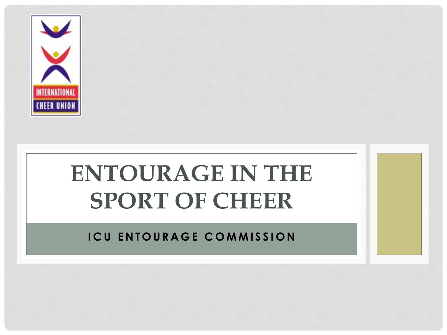

# **ENTOURAGE IN THE SPORT OF CHEER**

**ICU ENTOURAGE COMMISSION**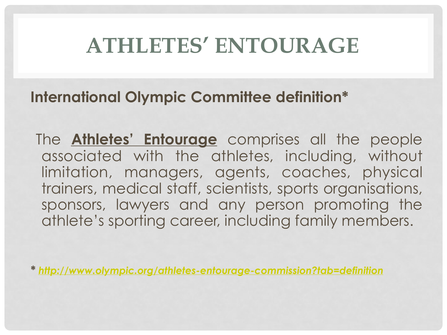# **ATHLETES' ENTOURAGE**

#### **International Olympic Committee definition\***

 The **Athletes' Entourage** comprises all the people associated with the athletes, including, without limitation, managers, agents, coaches, physical trainers, medical staff, scientists, sports organisations, sponsors, lawyers and any person promoting the athlete's sporting career, including family members.

*\* <http://www.olympic.org/athletes-entourage-commission?tab=definition>*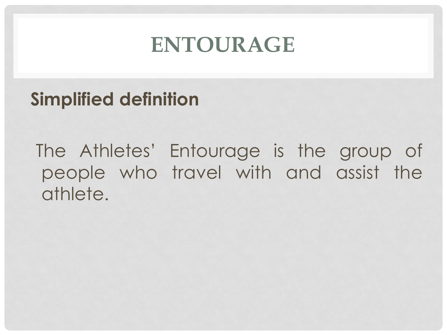# **ENTOURAGE**

### **Simplified definition**

 The Athletes' Entourage is the group of people who travel with and assist the athlete.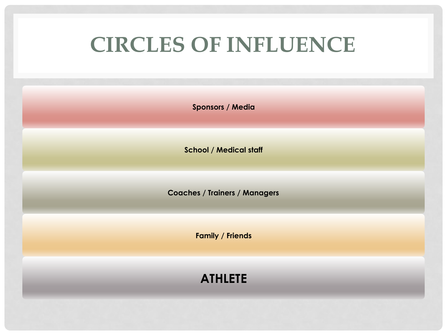# **CIRCLES OF INFLUENCE**

**Sponsors / Media**

**School / Medical staff**

**Coaches / Trainers / Managers**

**Family / Friends**

**ATHLETE**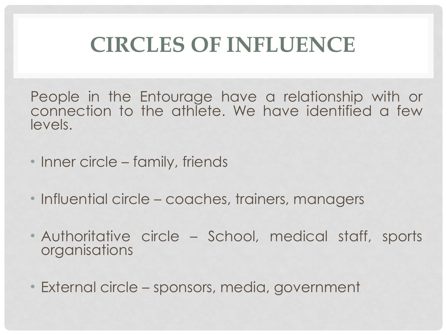# **CIRCLES OF INFLUENCE**

People in the Entourage have a relationship with or connection to the athlete. We have identified a few levels.

- Inner circle family, friends
- Influential circle coaches, trainers, managers
- Authoritative circle School, medical staff, sports organisations
- External circle sponsors, media, government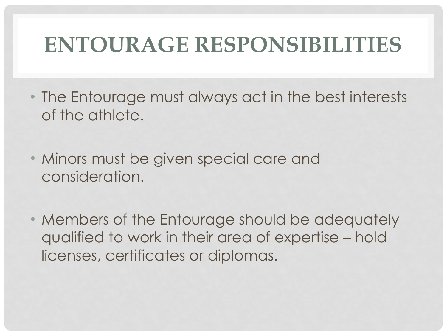# **ENTOURAGE RESPONSIBILITIES**

- The Entourage must always act in the best interests of the athlete.
- Minors must be given special care and consideration.
- Members of the Entourage should be adequately qualified to work in their area of expertise – hold licenses, certificates or diplomas.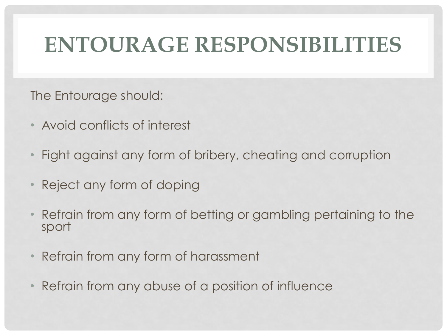# **ENTOURAGE RESPONSIBILITIES**

The Entourage should:

- Avoid conflicts of interest
- Fight against any form of bribery, cheating and corruption
- Reject any form of doping
- Refrain from any form of betting or gambling pertaining to the sport
- Refrain from any form of harassment
- Refrain from any abuse of a position of influence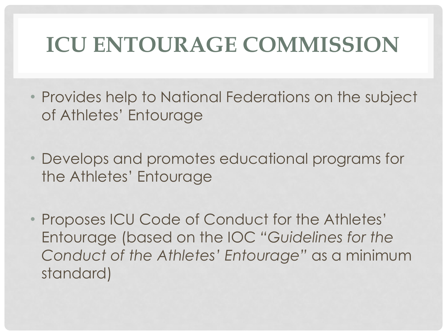# **ICU ENTOURAGE COMMISSION**

- Provides help to National Federations on the subject of Athletes' Entourage
- Develops and promotes educational programs for the Athletes' Entourage
- Proposes ICU Code of Conduct for the Athletes' Entourage (based on the IOC *"Guidelines for the Conduct of the Athletes' Entourage"* as a minimum standard)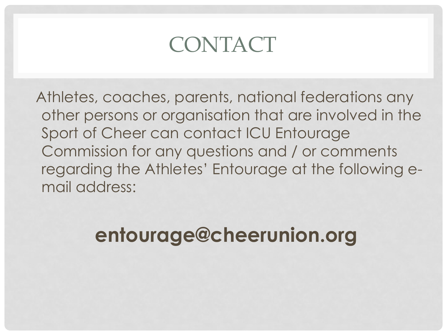# CONTACT

 Athletes, coaches, parents, national federations any other persons or organisation that are involved in the Sport of Cheer can contact ICU Entourage Commission for any questions and / or comments regarding the Athletes' Entourage at the following email address:

# **entourage@cheerunion.org**